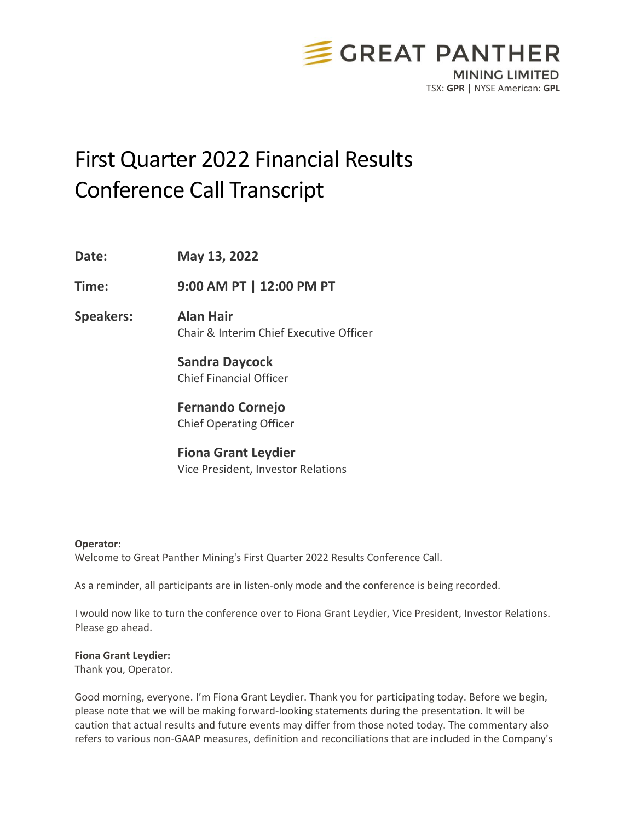

# First Quarter 2022 Financial Results Conference Call Transcript

**Date: May 13, 2022 Time: 9:00 AM PT | 12:00 PM PT Speakers: Alan Hair** Chair & Interim Chief Executive Officer **Sandra Daycock** Chief Financial Officer **Fernando Cornejo** Chief Operating Officer **Fiona Grant Leydier**

# **Operator:**

Welcome to Great Panther Mining's First Quarter 2022 Results Conference Call.

Vice President, Investor Relations

As a reminder, all participants are in listen-only mode and the conference is being recorded.

I would now like to turn the conference over to Fiona Grant Leydier, Vice President, Investor Relations. Please go ahead.

# **Fiona Grant Leydier:**

Thank you, Operator.

Good morning, everyone. I'm Fiona Grant Leydier. Thank you for participating today. Before we begin, please note that we will be making forward-looking statements during the presentation. It will be caution that actual results and future events may differ from those noted today. The commentary also refers to various non-GAAP measures, definition and reconciliations that are included in the Company's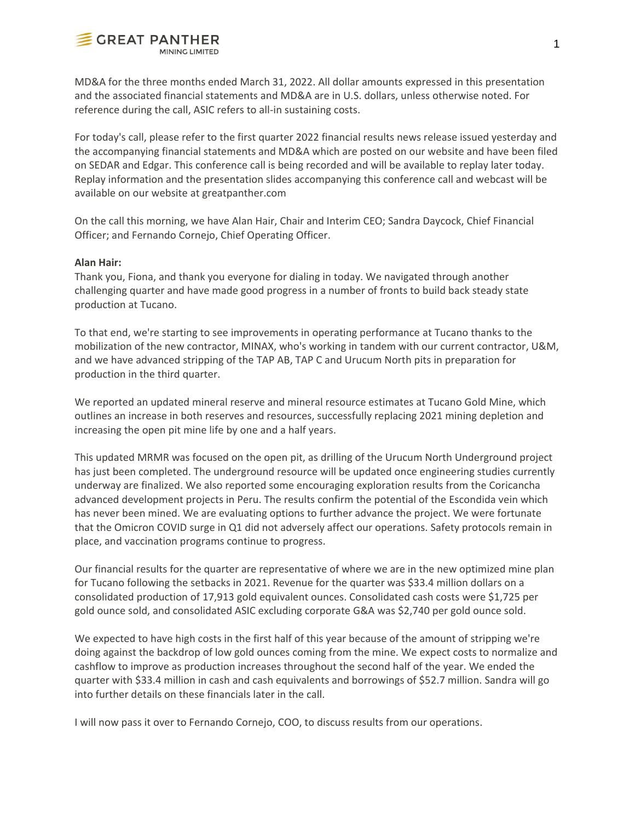

MD&A for the three months ended March 31, 2022. All dollar amounts expressed in this presentation and the associated financial statements and MD&A are in U.S. dollars, unless otherwise noted. For reference during the call, ASIC refers to all-in sustaining costs.

For today's call, please refer to the first quarter 2022 financial results news release issued yesterday and the accompanying financial statements and MD&A which are posted on our website and have been filed on SEDAR and Edgar. This conference call is being recorded and will be available to replay later today. Replay information and the presentation slides accompanying this conference call and webcast will be available on our website at greatpanther.com

On the call this morning, we have Alan Hair, Chair and Interim CEO; Sandra Daycock, Chief Financial Officer; and Fernando Cornejo, Chief Operating Officer.

#### **Alan Hair:**

Thank you, Fiona, and thank you everyone for dialing in today. We navigated through another challenging quarter and have made good progress in a number of fronts to build back steady state production at Tucano.

To that end, we're starting to see improvements in operating performance at Tucano thanks to the mobilization of the new contractor, MINAX, who's working in tandem with our current contractor, U&M, and we have advanced stripping of the TAP AB, TAP C and Urucum North pits in preparation for production in the third quarter.

We reported an updated mineral reserve and mineral resource estimates at Tucano Gold Mine, which outlines an increase in both reserves and resources, successfully replacing 2021 mining depletion and increasing the open pit mine life by one and a half years.

This updated MRMR was focused on the open pit, as drilling of the Urucum North Underground project has just been completed. The underground resource will be updated once engineering studies currently underway are finalized. We also reported some encouraging exploration results from the Coricancha advanced development projects in Peru. The results confirm the potential of the Escondida vein which has never been mined. We are evaluating options to further advance the project. We were fortunate that the Omicron COVID surge in Q1 did not adversely affect our operations. Safety protocols remain in place, and vaccination programs continue to progress.

Our financial results for the quarter are representative of where we are in the new optimized mine plan for Tucano following the setbacks in 2021. Revenue for the quarter was \$33.4 million dollars on a consolidated production of 17,913 gold equivalent ounces. Consolidated cash costs were \$1,725 per gold ounce sold, and consolidated ASIC excluding corporate G&A was \$2,740 per gold ounce sold.

We expected to have high costs in the first half of this year because of the amount of stripping we're doing against the backdrop of low gold ounces coming from the mine. We expect costs to normalize and cashflow to improve as production increases throughout the second half of the year. We ended the quarter with \$33.4 million in cash and cash equivalents and borrowings of \$52.7 million. Sandra will go into further details on these financials later in the call.

I will now pass it over to Fernando Cornejo, COO, to discuss results from our operations.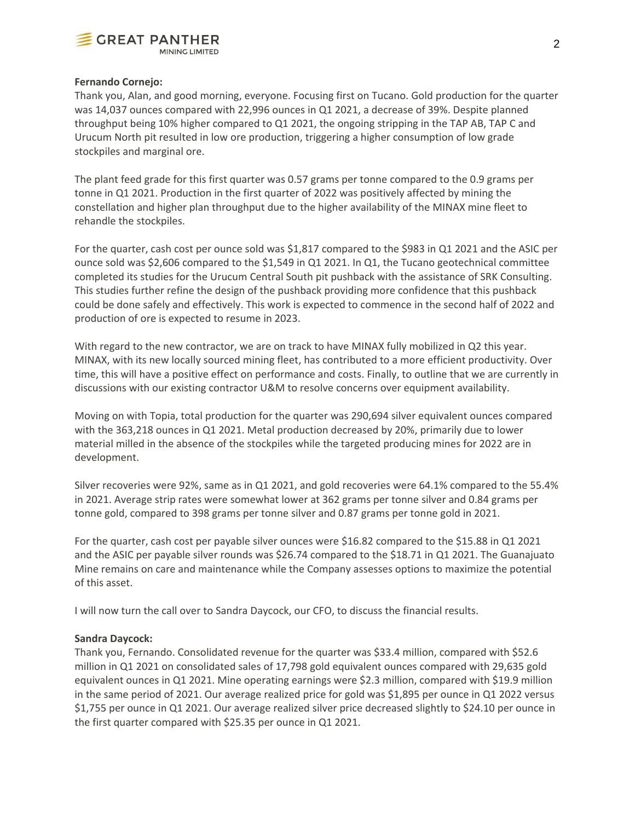

# **Fernando Cornejo:**

Thank you, Alan, and good morning, everyone. Focusing first on Tucano. Gold production for the quarter was 14,037 ounces compared with 22,996 ounces in Q1 2021, a decrease of 39%. Despite planned throughput being 10% higher compared to Q1 2021, the ongoing stripping in the TAP AB, TAP C and Urucum North pit resulted in low ore production, triggering a higher consumption of low grade stockpiles and marginal ore.

The plant feed grade for this first quarter was 0.57 grams per tonne compared to the 0.9 grams per tonne in Q1 2021. Production in the first quarter of 2022 was positively affected by mining the constellation and higher plan throughput due to the higher availability of the MINAX mine fleet to rehandle the stockpiles.

For the quarter, cash cost per ounce sold was \$1,817 compared to the \$983 in Q1 2021 and the ASIC per ounce sold was \$2,606 compared to the \$1,549 in Q1 2021. In Q1, the Tucano geotechnical committee completed its studies for the Urucum Central South pit pushback with the assistance of SRK Consulting. This studies further refine the design of the pushback providing more confidence that this pushback could be done safely and effectively. This work is expected to commence in the second half of 2022 and production of ore is expected to resume in 2023.

With regard to the new contractor, we are on track to have MINAX fully mobilized in Q2 this year. MINAX, with its new locally sourced mining fleet, has contributed to a more efficient productivity. Over time, this will have a positive effect on performance and costs. Finally, to outline that we are currently in discussions with our existing contractor U&M to resolve concerns over equipment availability.

Moving on with Topia, total production for the quarter was 290,694 silver equivalent ounces compared with the 363,218 ounces in Q1 2021. Metal production decreased by 20%, primarily due to lower material milled in the absence of the stockpiles while the targeted producing mines for 2022 are in development.

Silver recoveries were 92%, same as in Q1 2021, and gold recoveries were 64.1% compared to the 55.4% in 2021. Average strip rates were somewhat lower at 362 grams per tonne silver and 0.84 grams per tonne gold, compared to 398 grams per tonne silver and 0.87 grams per tonne gold in 2021.

For the quarter, cash cost per payable silver ounces were \$16.82 compared to the \$15.88 in Q1 2021 and the ASIC per payable silver rounds was \$26.74 compared to the \$18.71 in Q1 2021. The Guanajuato Mine remains on care and maintenance while the Company assesses options to maximize the potential of this asset.

I will now turn the call over to Sandra Daycock, our CFO, to discuss the financial results.

# **Sandra Daycock:**

Thank you, Fernando. Consolidated revenue for the quarter was \$33.4 million, compared with \$52.6 million in Q1 2021 on consolidated sales of 17,798 gold equivalent ounces compared with 29,635 gold equivalent ounces in Q1 2021. Mine operating earnings were \$2.3 million, compared with \$19.9 million in the same period of 2021. Our average realized price for gold was \$1,895 per ounce in Q1 2022 versus \$1,755 per ounce in Q1 2021. Our average realized silver price decreased slightly to \$24.10 per ounce in the first quarter compared with \$25.35 per ounce in Q1 2021.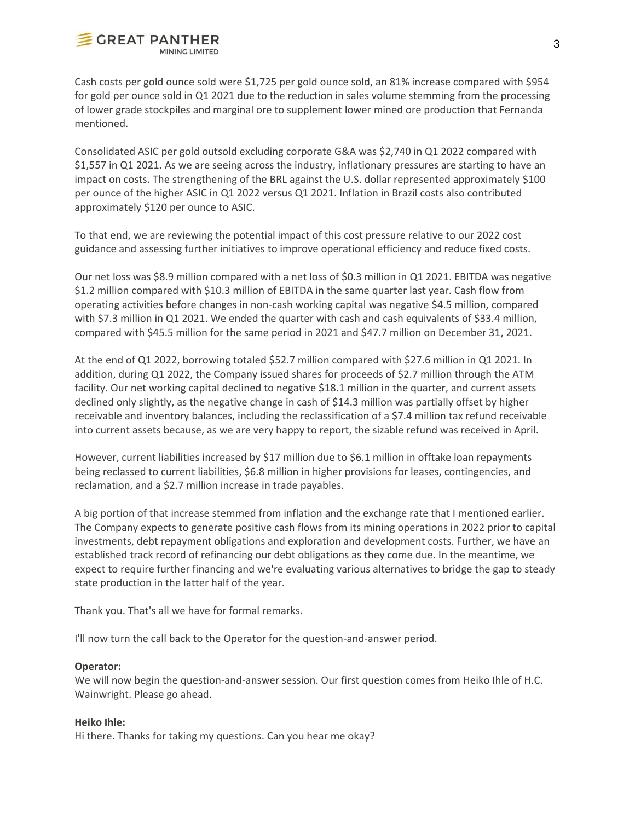

Cash costs per gold ounce sold were \$1,725 per gold ounce sold, an 81% increase compared with \$954 for gold per ounce sold in Q1 2021 due to the reduction in sales volume stemming from the processing of lower grade stockpiles and marginal ore to supplement lower mined ore production that Fernanda mentioned.

Consolidated ASIC per gold outsold excluding corporate G&A was \$2,740 in Q1 2022 compared with \$1,557 in Q1 2021. As we are seeing across the industry, inflationary pressures are starting to have an impact on costs. The strengthening of the BRL against the U.S. dollar represented approximately \$100 per ounce of the higher ASIC in Q1 2022 versus Q1 2021. Inflation in Brazil costs also contributed approximately \$120 per ounce to ASIC.

To that end, we are reviewing the potential impact of this cost pressure relative to our 2022 cost guidance and assessing further initiatives to improve operational efficiency and reduce fixed costs.

Our net loss was \$8.9 million compared with a net loss of \$0.3 million in Q1 2021. EBITDA was negative \$1.2 million compared with \$10.3 million of EBITDA in the same quarter last year. Cash flow from operating activities before changes in non-cash working capital was negative \$4.5 million, compared with \$7.3 million in Q1 2021. We ended the quarter with cash and cash equivalents of \$33.4 million, compared with \$45.5 million for the same period in 2021 and \$47.7 million on December 31, 2021.

At the end of Q1 2022, borrowing totaled \$52.7 million compared with \$27.6 million in Q1 2021. In addition, during Q1 2022, the Company issued shares for proceeds of \$2.7 million through the ATM facility. Our net working capital declined to negative \$18.1 million in the quarter, and current assets declined only slightly, as the negative change in cash of \$14.3 million was partially offset by higher receivable and inventory balances, including the reclassification of a \$7.4 million tax refund receivable into current assets because, as we are very happy to report, the sizable refund was received in April.

However, current liabilities increased by \$17 million due to \$6.1 million in offtake loan repayments being reclassed to current liabilities, \$6.8 million in higher provisions for leases, contingencies, and reclamation, and a \$2.7 million increase in trade payables.

A big portion of that increase stemmed from inflation and the exchange rate that I mentioned earlier. The Company expects to generate positive cash flows from its mining operations in 2022 prior to capital investments, debt repayment obligations and exploration and development costs. Further, we have an established track record of refinancing our debt obligations as they come due. In the meantime, we expect to require further financing and we're evaluating various alternatives to bridge the gap to steady state production in the latter half of the year.

Thank you. That's all we have for formal remarks.

I'll now turn the call back to the Operator for the question-and-answer period.

# **Operator:**

We will now begin the question-and-answer session. Our first question comes from Heiko Ihle of H.C. Wainwright. Please go ahead.

# **Heiko Ihle:**

Hi there. Thanks for taking my questions. Can you hear me okay?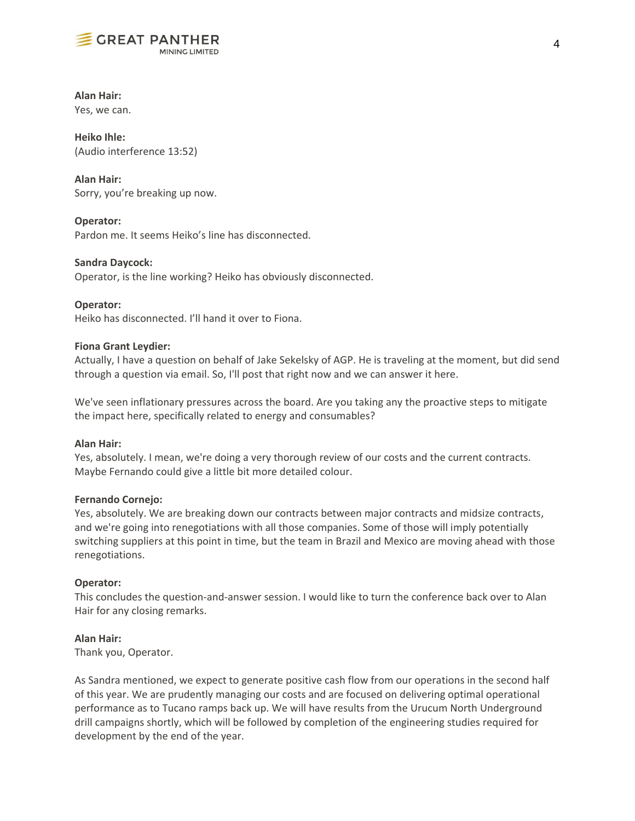

# **Alan Hair:**

Yes, we can.

**Heiko Ihle:** (Audio interference 13:52)

**Alan Hair:** Sorry, you're breaking up now.

# **Operator:**

Pardon me. It seems Heiko's line has disconnected.

# **Sandra Daycock:**

Operator, is the line working? Heiko has obviously disconnected.

**Operator:** Heiko has disconnected. I'll hand it over to Fiona.

# **Fiona Grant Leydier:**

Actually, I have a question on behalf of Jake Sekelsky of AGP. He is traveling at the moment, but did send through a question via email. So, I'll post that right now and we can answer it here.

We've seen inflationary pressures across the board. Are you taking any the proactive steps to mitigate the impact here, specifically related to energy and consumables?

# **Alan Hair:**

Yes, absolutely. I mean, we're doing a very thorough review of our costs and the current contracts. Maybe Fernando could give a little bit more detailed colour.

# **Fernando Cornejo:**

Yes, absolutely. We are breaking down our contracts between major contracts and midsize contracts, and we're going into renegotiations with all those companies. Some of those will imply potentially switching suppliers at this point in time, but the team in Brazil and Mexico are moving ahead with those renegotiations.

# **Operator:**

This concludes the question-and-answer session. I would like to turn the conference back over to Alan Hair for any closing remarks.

# **Alan Hair:**

Thank you, Operator.

As Sandra mentioned, we expect to generate positive cash flow from our operations in the second half of this year. We are prudently managing our costs and are focused on delivering optimal operational performance as to Tucano ramps back up. We will have results from the Urucum North Underground drill campaigns shortly, which will be followed by completion of the engineering studies required for development by the end of the year.